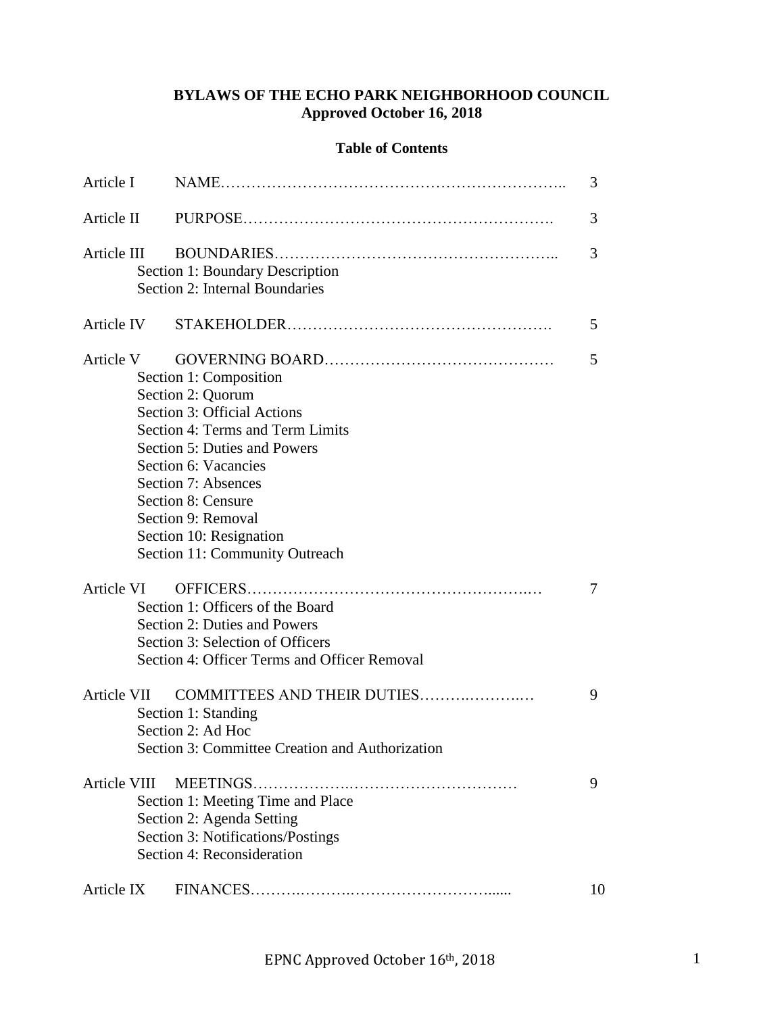# **BYLAWS OF THE ECHO PARK NEIGHBORHOOD COUNCIL Approved October 16, 2018**

# **Table of Contents**

| Article I    |                                                                                                                                                                                                                                                                                                        |    |  |
|--------------|--------------------------------------------------------------------------------------------------------------------------------------------------------------------------------------------------------------------------------------------------------------------------------------------------------|----|--|
| Article II   |                                                                                                                                                                                                                                                                                                        |    |  |
| Article III  | Section 1: Boundary Description<br>Section 2: Internal Boundaries                                                                                                                                                                                                                                      | 3  |  |
|              |                                                                                                                                                                                                                                                                                                        | 5  |  |
| Article V    | Section 1: Composition<br>Section 2: Quorum<br>Section 3: Official Actions<br>Section 4: Terms and Term Limits<br>Section 5: Duties and Powers<br>Section 6: Vacancies<br>Section 7: Absences<br>Section 8: Censure<br>Section 9: Removal<br>Section 10: Resignation<br>Section 11: Community Outreach | 5  |  |
| Article VI   | Section 1: Officers of the Board<br>Section 2: Duties and Powers<br>Section 3: Selection of Officers<br>Section 4: Officer Terms and Officer Removal                                                                                                                                                   | 7  |  |
| Article VII  | COMMITTEES AND THEIR DUTIES<br>Section 1: Standing<br>Section 2: Ad Hoc<br>Section 3: Committee Creation and Authorization                                                                                                                                                                             | 9  |  |
| Article VIII | Section 1: Meeting Time and Place<br>Section 2: Agenda Setting<br>Section 3: Notifications/Postings<br>Section 4: Reconsideration                                                                                                                                                                      | 9  |  |
| Article IX   |                                                                                                                                                                                                                                                                                                        | 10 |  |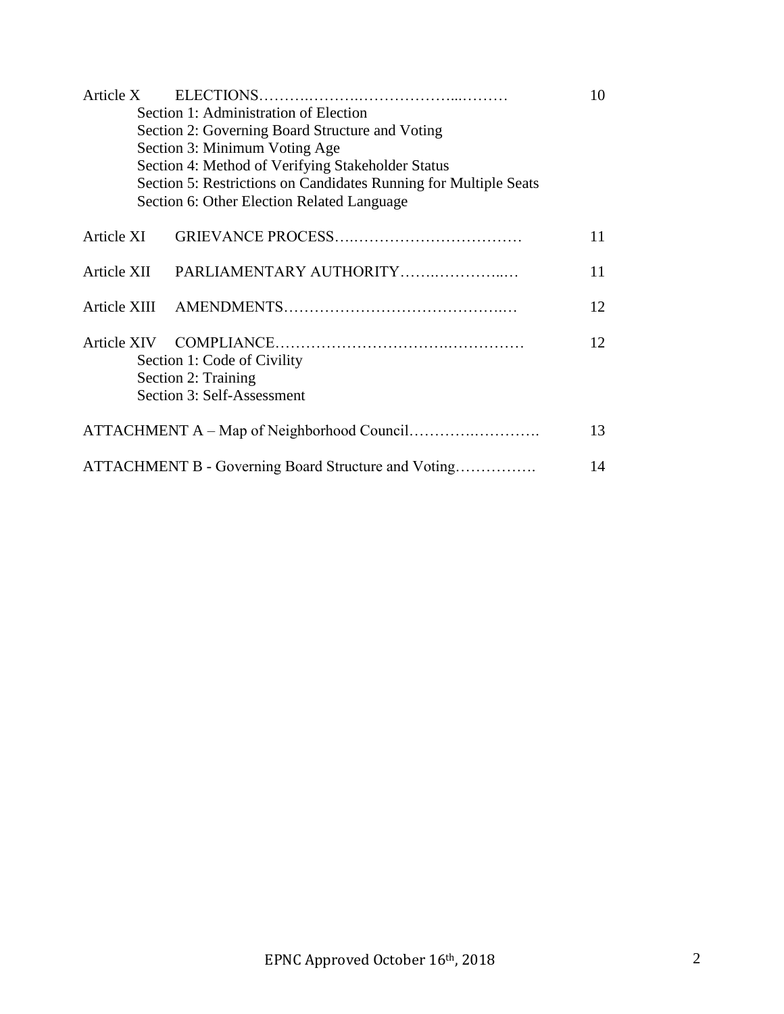| Article X                                                        | 10 |  |  |  |
|------------------------------------------------------------------|----|--|--|--|
| Section 1: Administration of Election                            |    |  |  |  |
| Section 2: Governing Board Structure and Voting                  |    |  |  |  |
| Section 3: Minimum Voting Age                                    |    |  |  |  |
| Section 4: Method of Verifying Stakeholder Status                |    |  |  |  |
| Section 5: Restrictions on Candidates Running for Multiple Seats |    |  |  |  |
| Section 6: Other Election Related Language                       |    |  |  |  |
| Article XI                                                       | 11 |  |  |  |
| Article XII<br>PARLIAMENTARY AUTHORITY                           | 11 |  |  |  |
|                                                                  | 12 |  |  |  |
|                                                                  | 12 |  |  |  |
| Section 1: Code of Civility                                      |    |  |  |  |
| Section 2: Training                                              |    |  |  |  |
| Section 3: Self-Assessment                                       |    |  |  |  |
|                                                                  | 13 |  |  |  |
| ATTACHMENT B - Governing Board Structure and Voting<br>14        |    |  |  |  |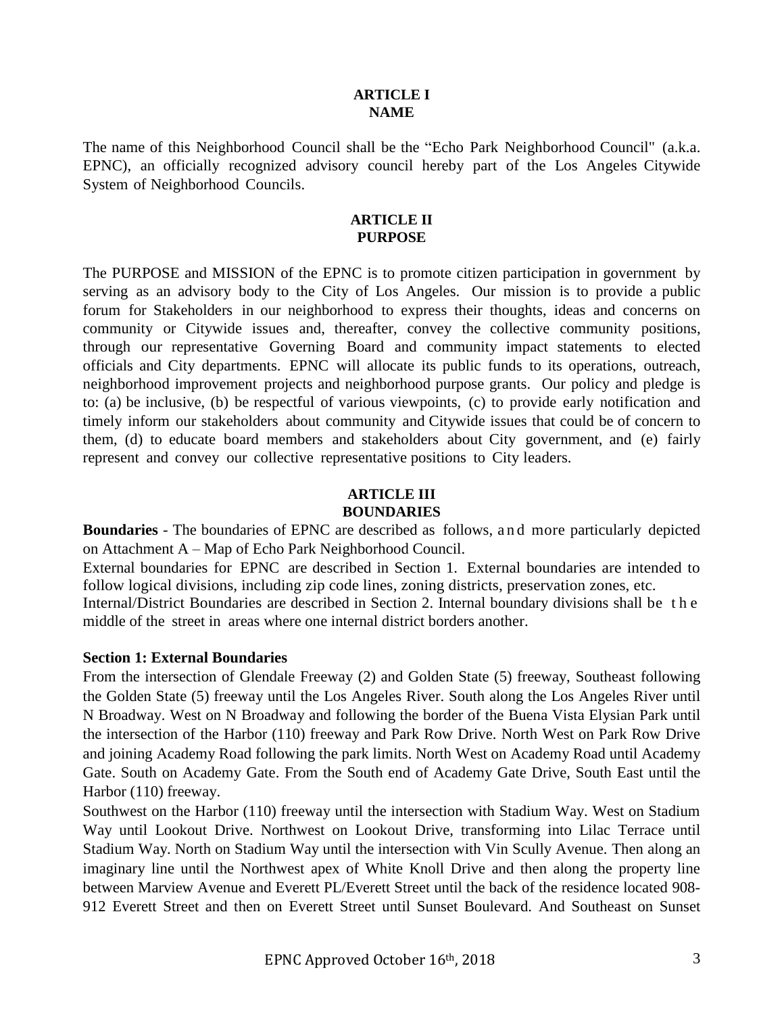#### **ARTICLE I NAME**

The name of this Neighborhood Council shall be the "Echo Park Neighborhood Council" (a.k.a. EPNC), an officially recognized advisory council hereby part of the Los Angeles Citywide System of Neighborhood Councils.

# **ARTICLE II PURPOSE**

The PURPOSE and MISSION of the EPNC is to promote citizen participation in government by serving as an advisory body to the City of Los Angeles. Our mission is to provide a public forum for Stakeholders in our neighborhood to express their thoughts, ideas and concerns on community or Citywide issues and, thereafter, convey the collective community positions, through our representative Governing Board and community impact statements to elected officials and City departments. EPNC will allocate its public funds to its operations, outreach, neighborhood improvement projects and neighborhood purpose grants. Our policy and pledge is to: (a) be inclusive, (b) be respectful of various viewpoints, (c) to provide early notification and timely inform our stakeholders about community and Citywide issues that could be of concern to them, (d) to educate board members and stakeholders about City government, and (e) fairly represent and convey our collective representative positions to City leaders.

## **ARTICLE III BOUNDARIES**

**Boundaries** - The boundaries of EPNC are described as follows, and more particularly depicted on Attachment A – Map of Echo Park Neighborhood Council.

External boundaries for EPNC are described in Section 1. External boundaries are intended to follow logical divisions, including zip code lines, zoning districts, preservation zones, etc. Internal/District Boundaries are described in Section 2. Internal boundary divisions shall be t h e middle of the street in areas where one internal district borders another.

# **Section 1: External Boundaries**

From the intersection of Glendale Freeway (2) and Golden State (5) freeway, Southeast following the Golden State (5) freeway until the Los Angeles River. South along the Los Angeles River until N Broadway. West on N Broadway and following the border of the Buena Vista Elysian Park until the intersection of the Harbor (110) freeway and Park Row Drive. North West on Park Row Drive and joining Academy Road following the park limits. North West on Academy Road until Academy Gate. South on Academy Gate. From the South end of Academy Gate Drive, South East until the Harbor (110) freeway.

Southwest on the Harbor (110) freeway until the intersection with Stadium Way. West on Stadium Way until Lookout Drive. Northwest on Lookout Drive, transforming into Lilac Terrace until Stadium Way. North on Stadium Way until the intersection with Vin Scully Avenue. Then along an imaginary line until the Northwest apex of White Knoll Drive and then along the property line between Marview Avenue and Everett PL/Everett Street until the back of the residence located 908- 912 Everett Street and then on Everett Street until Sunset Boulevard. And Southeast on Sunset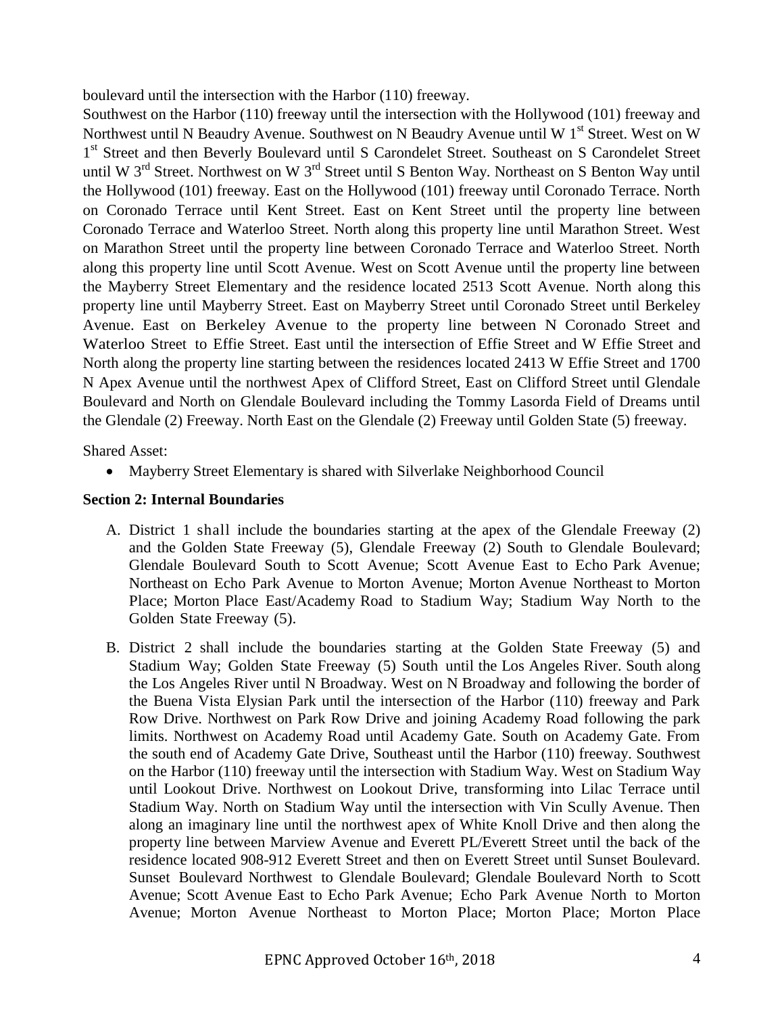boulevard until the intersection with the Harbor (110) freeway.

Southwest on the Harbor (110) freeway until the intersection with the Hollywood (101) freeway and Northwest until N Beaudry Avenue. Southwest on N Beaudry Avenue until W 1<sup>st</sup> Street. West on W 1<sup>st</sup> Street and then Beverly Boulevard until S Carondelet Street. Southeast on S Carondelet Street until W 3<sup>rd</sup> Street. Northwest on W 3<sup>rd</sup> Street until S Benton Way. Northeast on S Benton Way until the Hollywood (101) freeway. East on the Hollywood (101) freeway until Coronado Terrace. North on Coronado Terrace until Kent Street. East on Kent Street until the property line between Coronado Terrace and Waterloo Street. North along this property line until Marathon Street. West on Marathon Street until the property line between Coronado Terrace and Waterloo Street. North along this property line until Scott Avenue. West on Scott Avenue until the property line between the Mayberry Street Elementary and the residence located 2513 Scott Avenue. North along this property line until Mayberry Street. East on Mayberry Street until Coronado Street until Berkeley Avenue. East on Berkeley Avenue to the property line between N Coronado Street and Waterloo Street to Effie Street. East until the intersection of Effie Street and W Effie Street and North along the property line starting between the residences located 2413 W Effie Street and 1700 N Apex Avenue until the northwest Apex of Clifford Street, East on Clifford Street until Glendale Boulevard and North on Glendale Boulevard including the Tommy Lasorda Field of Dreams until the Glendale (2) Freeway. North East on the Glendale (2) Freeway until Golden State (5) freeway.

Shared Asset:

Mayberry Street Elementary is shared with Silverlake Neighborhood Council

## **Section 2: Internal Boundaries**

- A. District 1 shall include the boundaries starting at the apex of the Glendale Freeway (2) and the Golden State Freeway (5), Glendale Freeway (2) South to Glendale Boulevard; Glendale Boulevard South to Scott Avenue; Scott Avenue East to Echo Park Avenue; Northeast on Echo Park Avenue to Morton Avenue; Morton Avenue Northeast to Morton Place; Morton Place East/Academy Road to Stadium Way; Stadium Way North to the Golden State Freeway (5).
- B. District 2 shall include the boundaries starting at the Golden State Freeway (5) and Stadium Way; Golden State Freeway (5) South until the Los Angeles River. South along the Los Angeles River until N Broadway. West on N Broadway and following the border of the Buena Vista Elysian Park until the intersection of the Harbor (110) freeway and Park Row Drive. Northwest on Park Row Drive and joining Academy Road following the park limits. Northwest on Academy Road until Academy Gate. South on Academy Gate. From the south end of Academy Gate Drive, Southeast until the Harbor (110) freeway. Southwest on the Harbor (110) freeway until the intersection with Stadium Way. West on Stadium Way until Lookout Drive. Northwest on Lookout Drive, transforming into Lilac Terrace until Stadium Way. North on Stadium Way until the intersection with Vin Scully Avenue. Then along an imaginary line until the northwest apex of White Knoll Drive and then along the property line between Marview Avenue and Everett PL/Everett Street until the back of the residence located 908-912 Everett Street and then on Everett Street until Sunset Boulevard. Sunset Boulevard Northwest to Glendale Boulevard; Glendale Boulevard North to Scott Avenue; Scott Avenue East to Echo Park Avenue; Echo Park Avenue North to Morton Avenue; Morton Avenue Northeast to Morton Place; Morton Place; Morton Place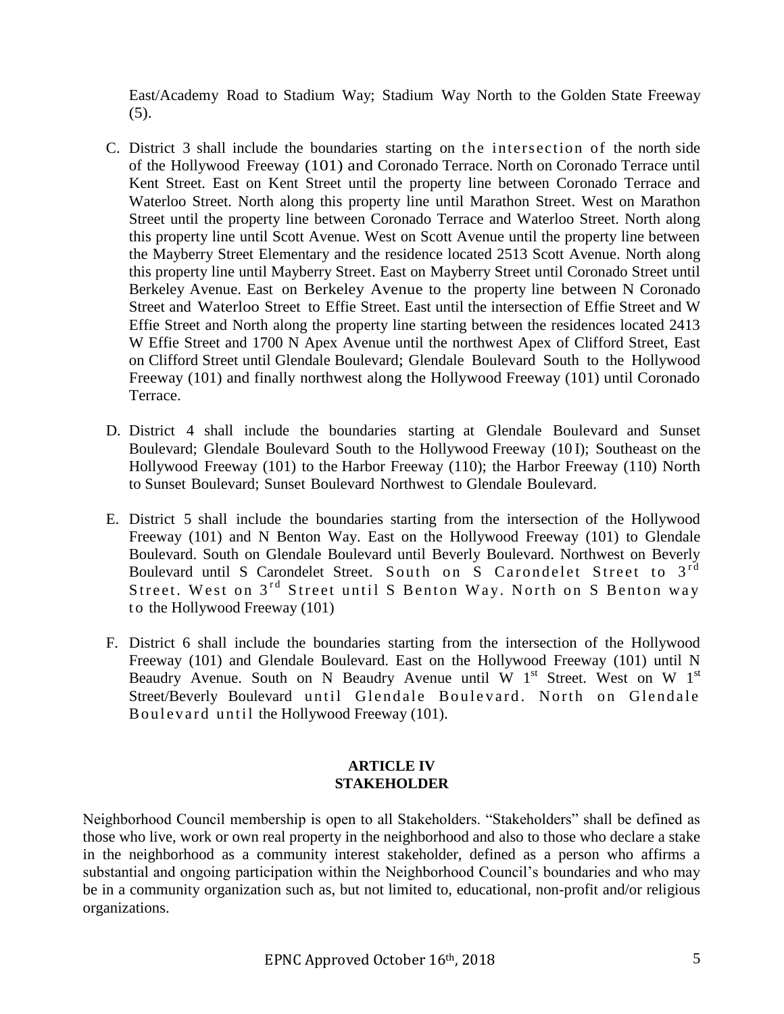East/Academy Road to Stadium Way; Stadium Way North to the Golden State Freeway (5).

- C. District 3 shall include the boundaries starting on the intersection of the north side of the Hollywood Freeway (101) and Coronado Terrace. North on Coronado Terrace until Kent Street. East on Kent Street until the property line between Coronado Terrace and Waterloo Street. North along this property line until Marathon Street. West on Marathon Street until the property line between Coronado Terrace and Waterloo Street. North along this property line until Scott Avenue. West on Scott Avenue until the property line between the Mayberry Street Elementary and the residence located 2513 Scott Avenue. North along this property line until Mayberry Street. East on Mayberry Street until Coronado Street until Berkeley Avenue. East on Berkeley Avenue to the property line between N Coronado Street and Waterloo Street to Effie Street. East until the intersection of Effie Street and W Effie Street and North along the property line starting between the residences located 2413 W Effie Street and 1700 N Apex Avenue until the northwest Apex of Clifford Street, East on Clifford Street until Glendale Boulevard; Glendale Boulevard South to the Hollywood Freeway (101) and finally northwest along the Hollywood Freeway (101) until Coronado Terrace.
- D. District 4 shall include the boundaries starting at Glendale Boulevard and Sunset Boulevard; Glendale Boulevard South to the Hollywood Freeway (10 I); Southeast on the Hollywood Freeway (101) to the Harbor Freeway (110); the Harbor Freeway (110) North to Sunset Boulevard; Sunset Boulevard Northwest to Glendale Boulevard.
- E. District 5 shall include the boundaries starting from the intersection of the Hollywood Freeway (101) and N Benton Way. East on the Hollywood Freeway (101) to Glendale Boulevard. South on Glendale Boulevard until Beverly Boulevard. Northwest on Beverly Boulevard until S Carondelet Street. South on S Carondelet Street to 3<sup>rd</sup> Street. West on 3<sup>rd</sup> Street until S Benton Way. North on S Benton way to the Hollywood Freeway (101)
- F. District 6 shall include the boundaries starting from the intersection of the Hollywood Freeway (101) and Glendale Boulevard. East on the Hollywood Freeway (101) until N Beaudry Avenue. South on N Beaudry Avenue until W  $1<sup>st</sup>$  Street. West on W  $1<sup>st</sup>$ Street/Beverly Boulevard until Glendale Boulevard. North on Glendale Boulevard until the Hollywood Freeway (101).

# **ARTICLE IV STAKEHOLDER**

Neighborhood Council membership is open to all Stakeholders. "Stakeholders" shall be defined as those who live, work or own real property in the neighborhood and also to those who declare a stake in the neighborhood as a community interest stakeholder, defined as a person who affirms a substantial and ongoing participation within the Neighborhood Council's boundaries and who may be in a community organization such as, but not limited to, educational, non-profit and/or religious organizations.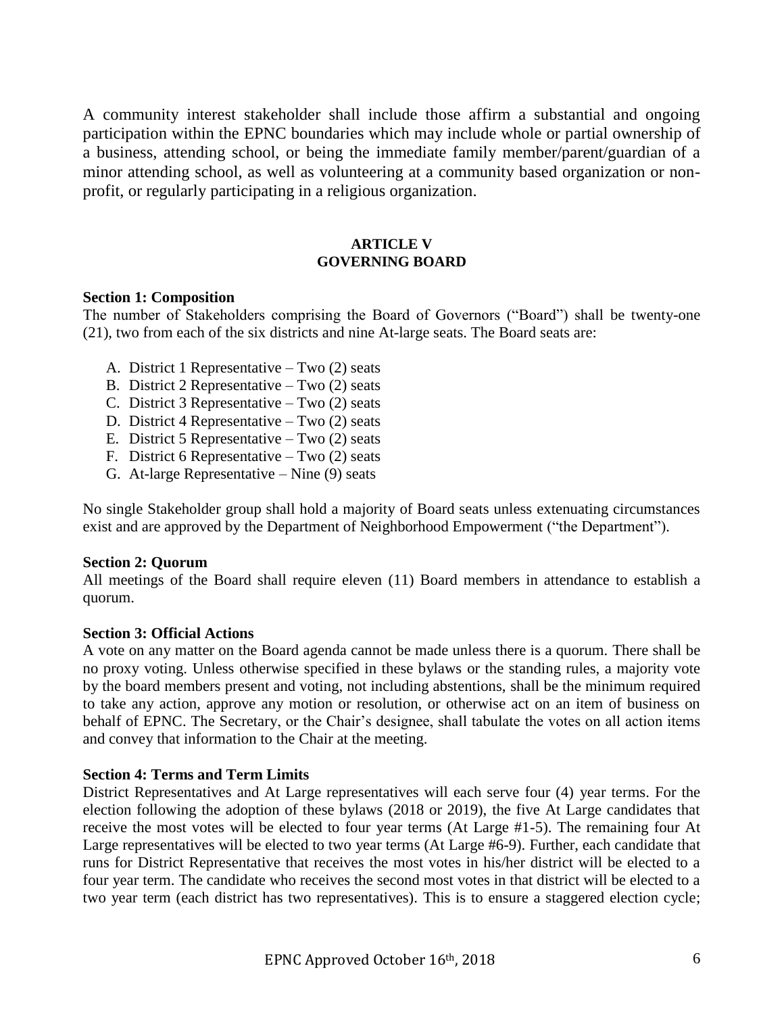A community interest stakeholder shall include those affirm a substantial and ongoing participation within the EPNC boundaries which may include whole or partial ownership of a business, attending school, or being the immediate family member/parent/guardian of a minor attending school, as well as volunteering at a community based organization or nonprofit, or regularly participating in a religious organization.

# **ARTICLE V GOVERNING BOARD**

#### **Section 1: Composition**

The number of Stakeholders comprising the Board of Governors ("Board") shall be twenty-one (21), two from each of the six districts and nine At-large seats. The Board seats are:

- A. District 1 Representative Two (2) seats
- B. District 2 Representative Two (2) seats
- C. District 3 Representative Two (2) seats
- D. District 4 Representative Two (2) seats
- E. District 5 Representative Two  $(2)$  seats
- F. District 6 Representative Two (2) seats
- G. At-large Representative Nine (9) seats

No single Stakeholder group shall hold a majority of Board seats unless extenuating circumstances exist and are approved by the Department of Neighborhood Empowerment ("the Department").

## **Section 2: Quorum**

All meetings of the Board shall require eleven (11) Board members in attendance to establish a quorum.

#### **Section 3: Official Actions**

A vote on any matter on the Board agenda cannot be made unless there is a quorum. There shall be no proxy voting. Unless otherwise specified in these bylaws or the standing rules, a majority vote by the board members present and voting, not including abstentions, shall be the minimum required to take any action, approve any motion or resolution, or otherwise act on an item of business on behalf of EPNC. The Secretary, or the Chair's designee, shall tabulate the votes on all action items and convey that information to the Chair at the meeting.

## **Section 4: Terms and Term Limits**

District Representatives and At Large representatives will each serve four (4) year terms. For the election following the adoption of these bylaws (2018 or 2019), the five At Large candidates that receive the most votes will be elected to four year terms (At Large #1-5). The remaining four At Large representatives will be elected to two year terms (At Large #6-9). Further, each candidate that runs for District Representative that receives the most votes in his/her district will be elected to a four year term. The candidate who receives the second most votes in that district will be elected to a two year term (each district has two representatives). This is to ensure a staggered election cycle;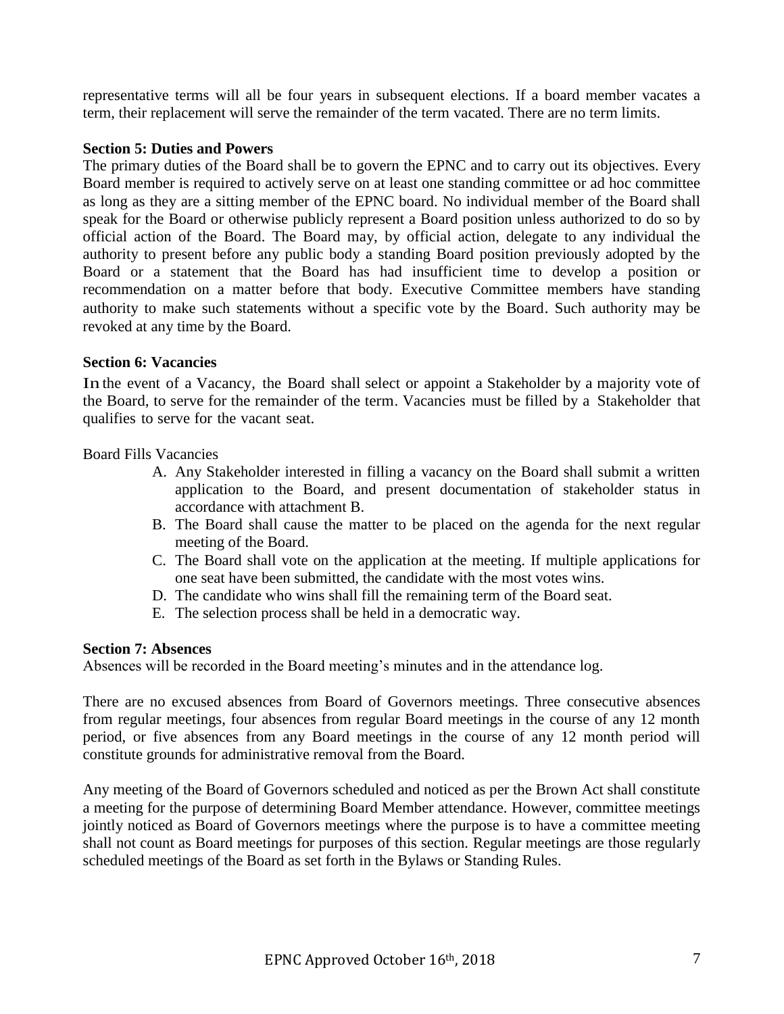representative terms will all be four years in subsequent elections. If a board member vacates a term, their replacement will serve the remainder of the term vacated. There are no term limits.

# **Section 5: Duties and Powers**

The primary duties of the Board shall be to govern the EPNC and to carry out its objectives. Every Board member is required to actively serve on at least one standing committee or ad hoc committee as long as they are a sitting member of the EPNC board. No individual member of the Board shall speak for the Board or otherwise publicly represent a Board position unless authorized to do so by official action of the Board. The Board may, by official action, delegate to any individual the authority to present before any public body a standing Board position previously adopted by the Board or a statement that the Board has had insufficient time to develop a position or recommendation on a matter before that body. Executive Committee members have standing authority to make such statements without a specific vote by the Board. Such authority may be revoked at any time by the Board.

# **Section 6: Vacancies**

In the event of a Vacancy, the Board shall select or appoint a Stakeholder by a majority vote of the Board, to serve for the remainder of the term. Vacancies must be filled by a Stakeholder that qualifies to serve for the vacant seat.

Board Fills Vacancies

- A. Any Stakeholder interested in filling a vacancy on the Board shall submit a written application to the Board, and present documentation of stakeholder status in accordance with attachment B.
- B. The Board shall cause the matter to be placed on the agenda for the next regular meeting of the Board.
- C. The Board shall vote on the application at the meeting. If multiple applications for one seat have been submitted, the candidate with the most votes wins.
- D. The candidate who wins shall fill the remaining term of the Board seat.
- E. The selection process shall be held in a democratic way.

## **Section 7: Absences**

Absences will be recorded in the Board meeting's minutes and in the attendance log.

There are no excused absences from Board of Governors meetings. Three consecutive absences from regular meetings, four absences from regular Board meetings in the course of any 12 month period, or five absences from any Board meetings in the course of any 12 month period will constitute grounds for administrative removal from the Board.

Any meeting of the Board of Governors scheduled and noticed as per the Brown Act shall constitute a meeting for the purpose of determining Board Member attendance. However, committee meetings jointly noticed as Board of Governors meetings where the purpose is to have a committee meeting shall not count as Board meetings for purposes of this section. Regular meetings are those regularly scheduled meetings of the Board as set forth in the Bylaws or Standing Rules.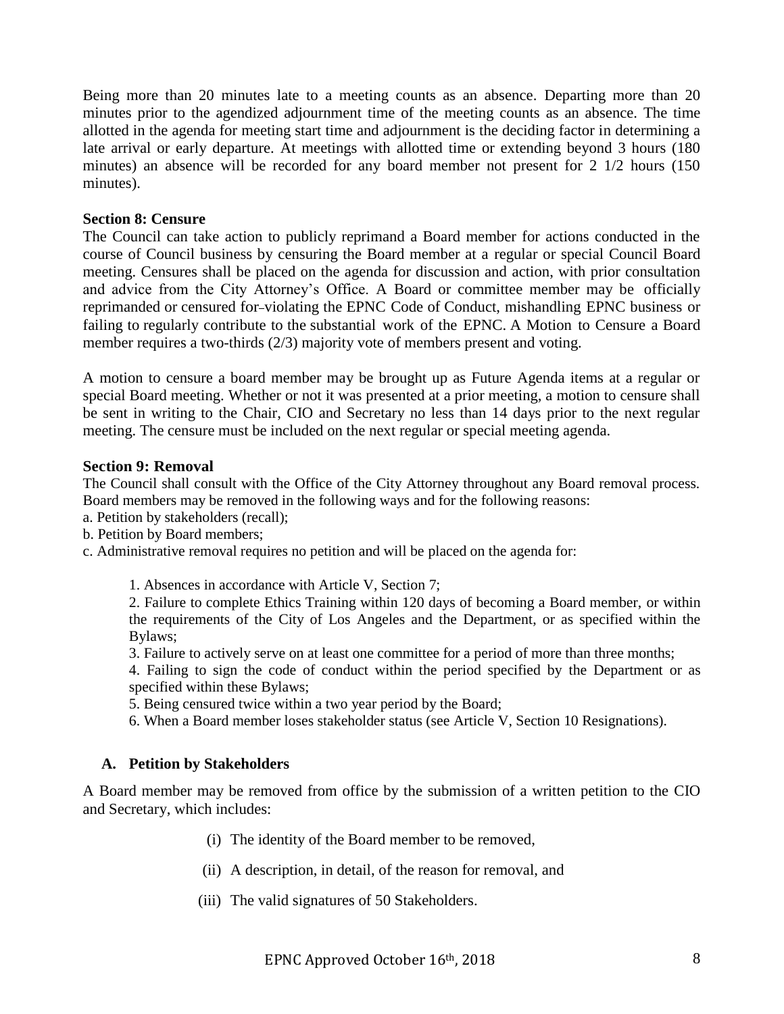Being more than 20 minutes late to a meeting counts as an absence. Departing more than 20 minutes prior to the agendized adjournment time of the meeting counts as an absence. The time allotted in the agenda for meeting start time and adjournment is the deciding factor in determining a late arrival or early departure. At meetings with allotted time or extending beyond 3 hours (180 minutes) an absence will be recorded for any board member not present for 2 1/2 hours (150 minutes).

#### **Section 8: Censure**

The Council can take action to publicly reprimand a Board member for actions conducted in the course of Council business by censuring the Board member at a regular or special Council Board meeting. Censures shall be placed on the agenda for discussion and action, with prior consultation and advice from the City Attorney's Office. A Board or committee member may be officially reprimanded or censured for violating the EPNC Code of Conduct, mishandling EPNC business or failing to regularly contribute to the substantial work of the EPNC. A Motion to Censure a Board member requires a two-thirds (2/3) majority vote of members present and voting.

A motion to censure a board member may be brought up as Future Agenda items at a regular or special Board meeting. Whether or not it was presented at a prior meeting, a motion to censure shall be sent in writing to the Chair, CIO and Secretary no less than 14 days prior to the next regular meeting. The censure must be included on the next regular or special meeting agenda.

#### **Section 9: Removal**

The Council shall consult with the Office of the City Attorney throughout any Board removal process. Board members may be removed in the following ways and for the following reasons:

- a. Petition by stakeholders (recall);
- b. Petition by Board members;
- c. Administrative removal requires no petition and will be placed on the agenda for:

1. Absences in accordance with Article V, Section 7;

2. Failure to complete Ethics Training within 120 days of becoming a Board member, or within the requirements of the City of Los Angeles and the Department, or as specified within the Bylaws;

3. Failure to actively serve on at least one committee for a period of more than three months;

4. Failing to sign the code of conduct within the period specified by the Department or as specified within these Bylaws;

5. Being censured twice within a two year period by the Board;

6. When a Board member loses stakeholder status (see Article V, Section 10 Resignations).

#### **A. Petition by Stakeholders**

A Board member may be removed from office by the submission of a written petition to the CIO and Secretary, which includes:

- (i) The identity of the Board member to be removed,
- (ii) A description, in detail, of the reason for removal, and
- (iii) The valid signatures of 50 Stakeholders.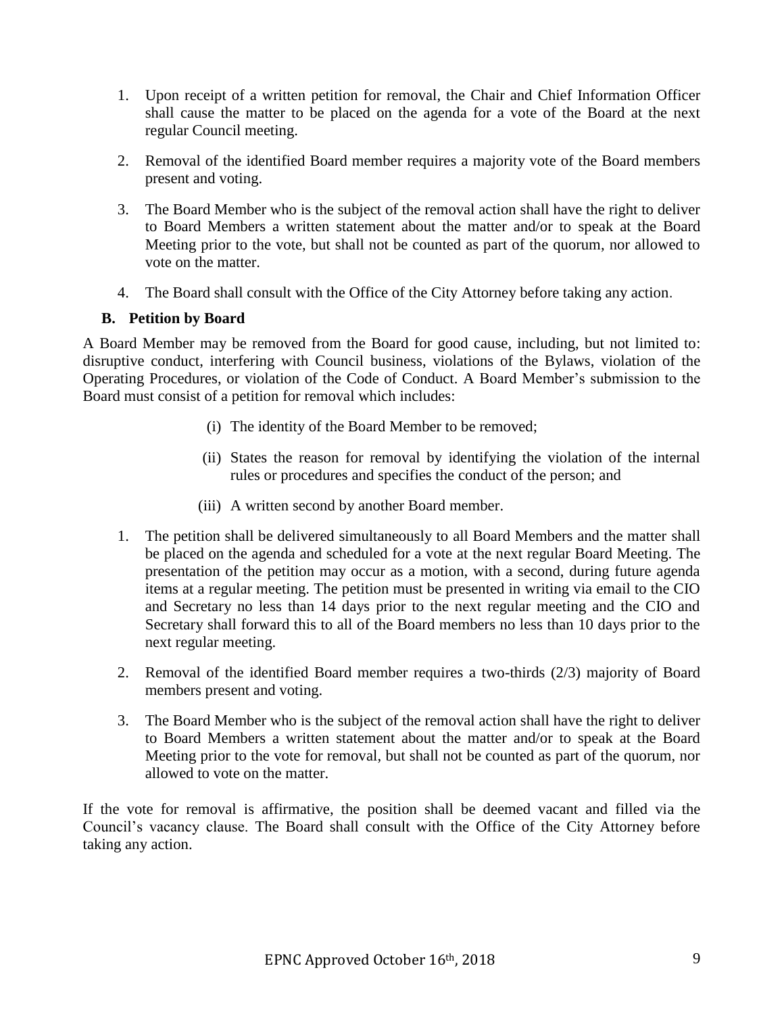- 1. Upon receipt of a written petition for removal, the Chair and Chief Information Officer shall cause the matter to be placed on the agenda for a vote of the Board at the next regular Council meeting.
- 2. Removal of the identified Board member requires a majority vote of the Board members present and voting.
- 3. The Board Member who is the subject of the removal action shall have the right to deliver to Board Members a written statement about the matter and/or to speak at the Board Meeting prior to the vote, but shall not be counted as part of the quorum, nor allowed to vote on the matter.
- 4. The Board shall consult with the Office of the City Attorney before taking any action.

# **B. Petition by Board**

A Board Member may be removed from the Board for good cause, including, but not limited to: disruptive conduct, interfering with Council business, violations of the Bylaws, violation of the Operating Procedures, or violation of the Code of Conduct. A Board Member's submission to the Board must consist of a petition for removal which includes:

- (i) The identity of the Board Member to be removed;
- (ii) States the reason for removal by identifying the violation of the internal rules or procedures and specifies the conduct of the person; and
- (iii) A written second by another Board member.
- 1. The petition shall be delivered simultaneously to all Board Members and the matter shall be placed on the agenda and scheduled for a vote at the next regular Board Meeting. The presentation of the petition may occur as a motion, with a second, during future agenda items at a regular meeting. The petition must be presented in writing via email to the CIO and Secretary no less than 14 days prior to the next regular meeting and the CIO and Secretary shall forward this to all of the Board members no less than 10 days prior to the next regular meeting.
- 2. Removal of the identified Board member requires a two-thirds (2/3) majority of Board members present and voting.
- 3. The Board Member who is the subject of the removal action shall have the right to deliver to Board Members a written statement about the matter and/or to speak at the Board Meeting prior to the vote for removal, but shall not be counted as part of the quorum, nor allowed to vote on the matter.

If the vote for removal is affirmative, the position shall be deemed vacant and filled via the Council's vacancy clause. The Board shall consult with the Office of the City Attorney before taking any action.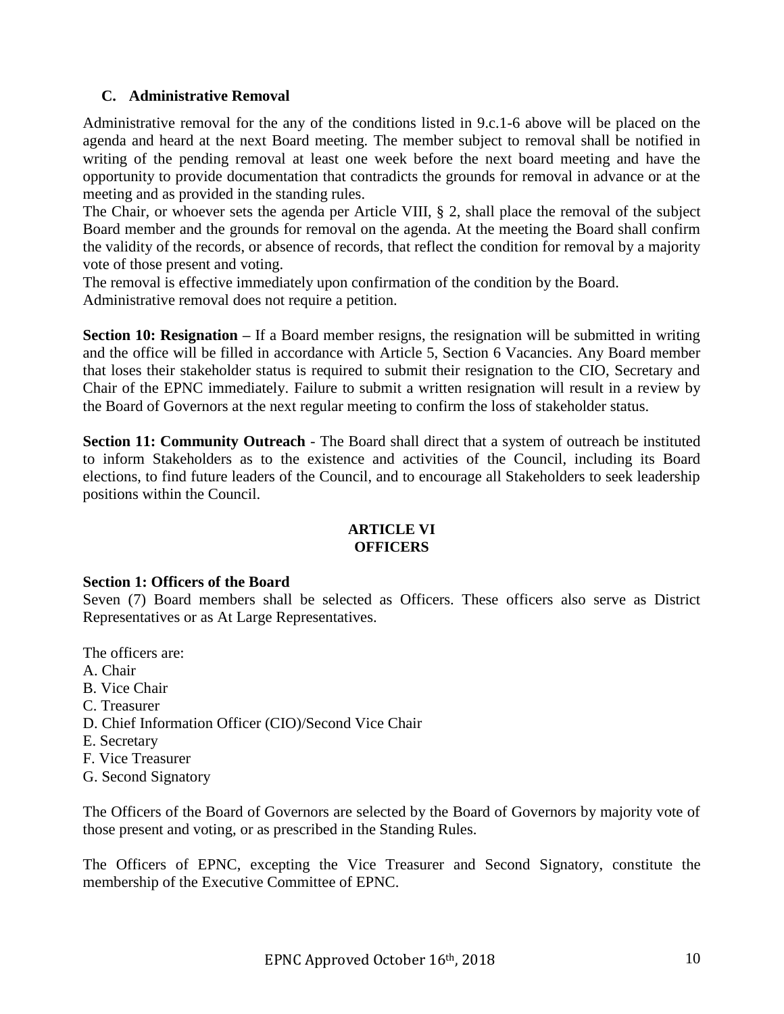# **C. Administrative Removal**

Administrative removal for the any of the conditions listed in 9.c.1-6 above will be placed on the agenda and heard at the next Board meeting. The member subject to removal shall be notified in writing of the pending removal at least one week before the next board meeting and have the opportunity to provide documentation that contradicts the grounds for removal in advance or at the meeting and as provided in the standing rules.

The Chair, or whoever sets the agenda per Article VIII, § 2, shall place the removal of the subject Board member and the grounds for removal on the agenda. At the meeting the Board shall confirm the validity of the records, or absence of records, that reflect the condition for removal by a majority vote of those present and voting.

The removal is effective immediately upon confirmation of the condition by the Board. Administrative removal does not require a petition.

**Section 10: Resignation** – If a Board member resigns, the resignation will be submitted in writing and the office will be filled in accordance with Article 5, Section 6 Vacancies. Any Board member that loses their stakeholder status is required to submit their resignation to the CIO, Secretary and Chair of the EPNC immediately. Failure to submit a written resignation will result in a review by the Board of Governors at the next regular meeting to confirm the loss of stakeholder status.

**Section 11: Community Outreach** - The Board shall direct that a system of outreach be instituted to inform Stakeholders as to the existence and activities of the Council, including its Board elections, to find future leaders of the Council, and to encourage all Stakeholders to seek leadership positions within the Council.

#### **ARTICLE VI OFFICERS**

## **Section 1: Officers of the Board**

Seven (7) Board members shall be selected as Officers. These officers also serve as District Representatives or as At Large Representatives.

The officers are:

- A. Chair
- B. Vice Chair
- C. Treasurer
- D. Chief Information Officer (CIO)/Second Vice Chair
- E. Secretary
- F. Vice Treasurer
- G. Second Signatory

The Officers of the Board of Governors are selected by the Board of Governors by majority vote of those present and voting, or as prescribed in the Standing Rules.

The Officers of EPNC, excepting the Vice Treasurer and Second Signatory, constitute the membership of the Executive Committee of EPNC.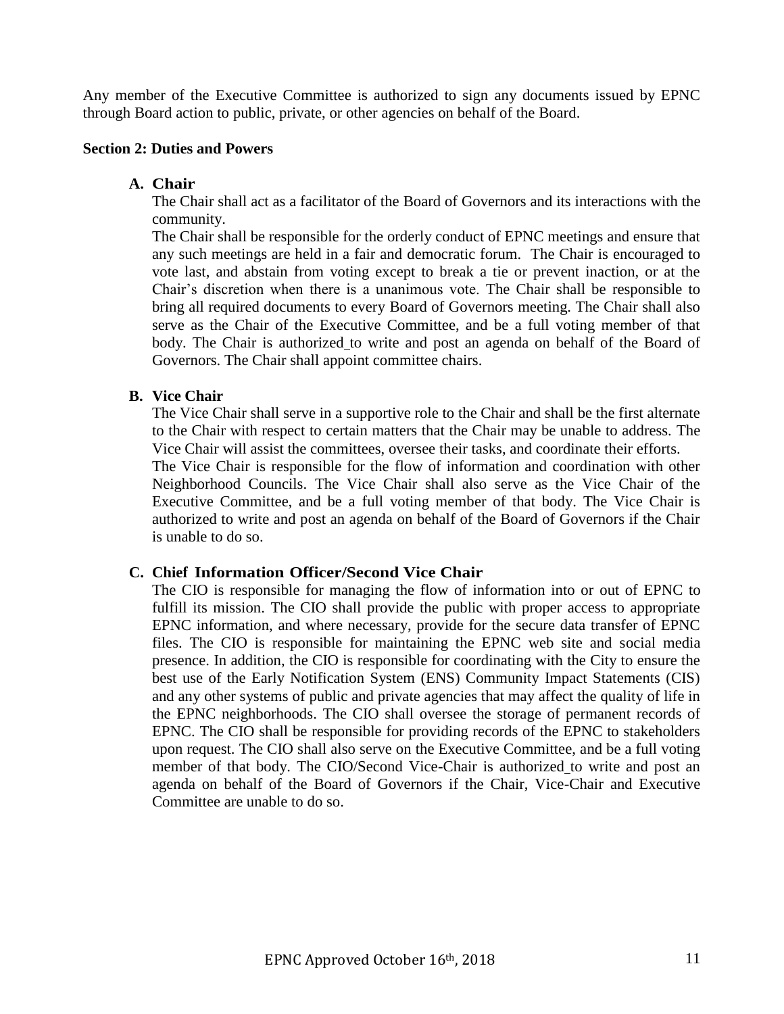Any member of the Executive Committee is authorized to sign any documents issued by EPNC through Board action to public, private, or other agencies on behalf of the Board.

## **Section 2: Duties and Powers**

## **A. Chair**

The Chair shall act as a facilitator of the Board of Governors and its interactions with the community.

The Chair shall be responsible for the orderly conduct of EPNC meetings and ensure that any such meetings are held in a fair and democratic forum. The Chair is encouraged to vote last, and abstain from voting except to break a tie or prevent inaction, or at the Chair's discretion when there is a unanimous vote. The Chair shall be responsible to bring all required documents to every Board of Governors meeting. The Chair shall also serve as the Chair of the Executive Committee, and be a full voting member of that body. The Chair is authorized to write and post an agenda on behalf of the Board of Governors. The Chair shall appoint committee chairs.

## **B. Vice Chair**

The Vice Chair shall serve in a supportive role to the Chair and shall be the first alternate to the Chair with respect to certain matters that the Chair may be unable to address. The Vice Chair will assist the committees, oversee their tasks, and coordinate their efforts.

The Vice Chair is responsible for the flow of information and coordination with other Neighborhood Councils. The Vice Chair shall also serve as the Vice Chair of the Executive Committee, and be a full voting member of that body. The Vice Chair is authorized to write and post an agenda on behalf of the Board of Governors if the Chair is unable to do so.

## **C. Chief Information Officer/Second Vice Chair**

The CIO is responsible for managing the flow of information into or out of EPNC to fulfill its mission. The CIO shall provide the public with proper access to appropriate EPNC information, and where necessary, provide for the secure data transfer of EPNC files. The CIO is responsible for maintaining the EPNC web site and social media presence. In addition, the CIO is responsible for coordinating with the City to ensure the best use of the Early Notification System (ENS) Community Impact Statements (CIS) and any other systems of public and private agencies that may affect the quality of life in the EPNC neighborhoods. The CIO shall oversee the storage of permanent records of EPNC. The CIO shall be responsible for providing records of the EPNC to stakeholders upon request. The CIO shall also serve on the Executive Committee, and be a full voting member of that body. The CIO/Second Vice-Chair is authorized to write and post an agenda on behalf of the Board of Governors if the Chair, Vice-Chair and Executive Committee are unable to do so.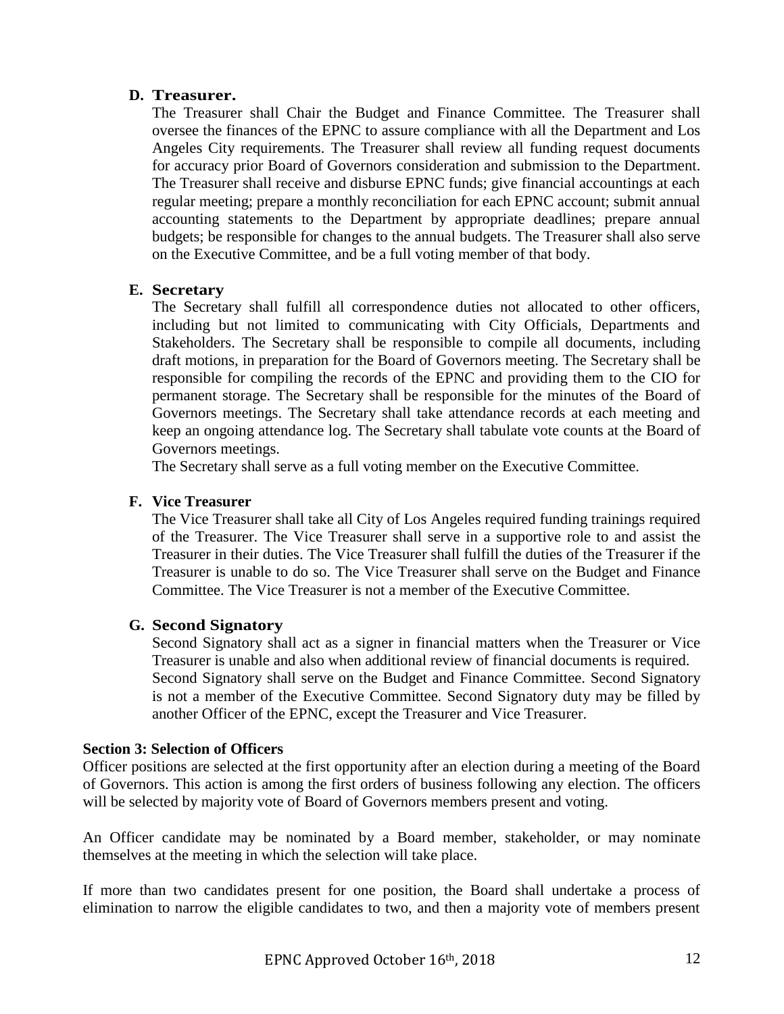# **D. Treasurer.**

The Treasurer shall Chair the Budget and Finance Committee. The Treasurer shall oversee the finances of the EPNC to assure compliance with all the Department and Los Angeles City requirements. The Treasurer shall review all funding request documents for accuracy prior Board of Governors consideration and submission to the Department. The Treasurer shall receive and disburse EPNC funds; give financial accountings at each regular meeting; prepare a monthly reconciliation for each EPNC account; submit annual accounting statements to the Department by appropriate deadlines; prepare annual budgets; be responsible for changes to the annual budgets. The Treasurer shall also serve on the Executive Committee, and be a full voting member of that body.

# **E. Secretary**

The Secretary shall fulfill all correspondence duties not allocated to other officers, including but not limited to communicating with City Officials, Departments and Stakeholders. The Secretary shall be responsible to compile all documents, including draft motions, in preparation for the Board of Governors meeting. The Secretary shall be responsible for compiling the records of the EPNC and providing them to the CIO for permanent storage. The Secretary shall be responsible for the minutes of the Board of Governors meetings. The Secretary shall take attendance records at each meeting and keep an ongoing attendance log. The Secretary shall tabulate vote counts at the Board of Governors meetings.

The Secretary shall serve as a full voting member on the Executive Committee.

# **F. Vice Treasurer**

The Vice Treasurer shall take all City of Los Angeles required funding trainings required of the Treasurer. The Vice Treasurer shall serve in a supportive role to and assist the Treasurer in their duties. The Vice Treasurer shall fulfill the duties of the Treasurer if the Treasurer is unable to do so. The Vice Treasurer shall serve on the Budget and Finance Committee. The Vice Treasurer is not a member of the Executive Committee.

## **G. Second Signatory**

Second Signatory shall act as a signer in financial matters when the Treasurer or Vice Treasurer is unable and also when additional review of financial documents is required. Second Signatory shall serve on the Budget and Finance Committee. Second Signatory is not a member of the Executive Committee. Second Signatory duty may be filled by another Officer of the EPNC, except the Treasurer and Vice Treasurer.

## **Section 3: Selection of Officers**

Officer positions are selected at the first opportunity after an election during a meeting of the Board of Governors. This action is among the first orders of business following any election. The officers will be selected by majority vote of Board of Governors members present and voting.

An Officer candidate may be nominated by a Board member, stakeholder, or may nominate themselves at the meeting in which the selection will take place.

If more than two candidates present for one position, the Board shall undertake a process of elimination to narrow the eligible candidates to two, and then a majority vote of members present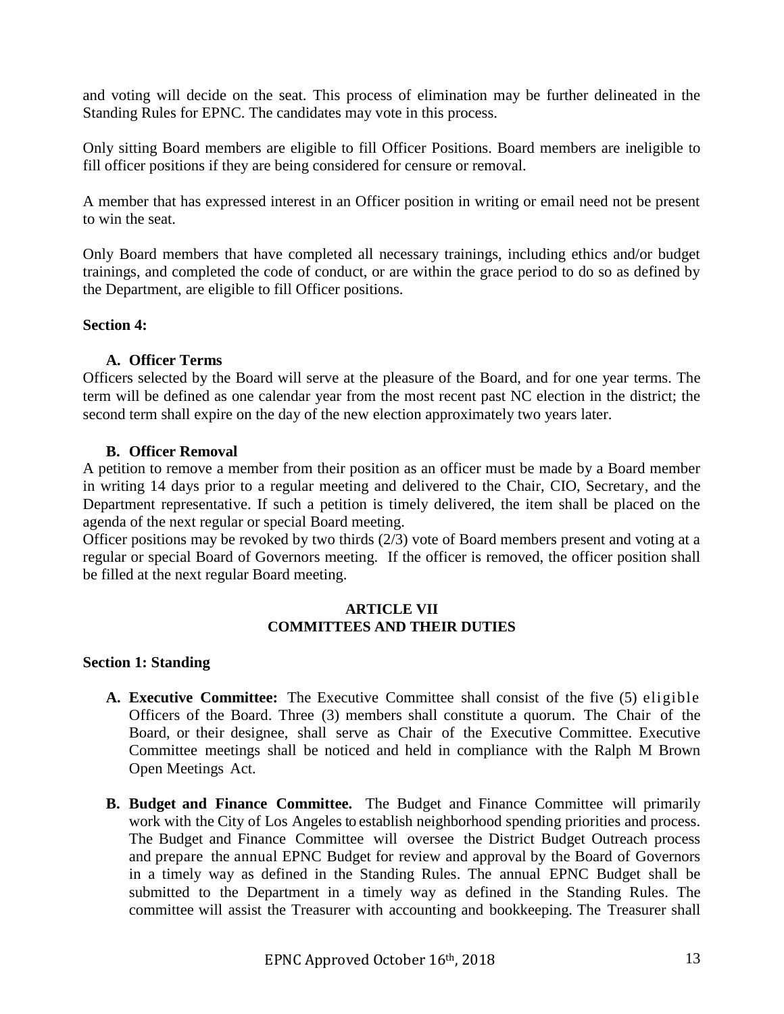and voting will decide on the seat. This process of elimination may be further delineated in the Standing Rules for EPNC. The candidates may vote in this process.

Only sitting Board members are eligible to fill Officer Positions. Board members are ineligible to fill officer positions if they are being considered for censure or removal.

A member that has expressed interest in an Officer position in writing or email need not be present to win the seat.

Only Board members that have completed all necessary trainings, including ethics and/or budget trainings, and completed the code of conduct, or are within the grace period to do so as defined by the Department, are eligible to fill Officer positions.

## **Section 4:**

# **A. Officer Terms**

Officers selected by the Board will serve at the pleasure of the Board, and for one year terms. The term will be defined as one calendar year from the most recent past NC election in the district; the second term shall expire on the day of the new election approximately two years later.

# **B. Officer Removal**

A petition to remove a member from their position as an officer must be made by a Board member in writing 14 days prior to a regular meeting and delivered to the Chair, CIO, Secretary, and the Department representative. If such a petition is timely delivered, the item shall be placed on the agenda of the next regular or special Board meeting.

Officer positions may be revoked by two thirds (2/3) vote of Board members present and voting at a regular or special Board of Governors meeting. If the officer is removed, the officer position shall be filled at the next regular Board meeting.

## **ARTICLE VII COMMITTEES AND THEIR DUTIES**

# **Section 1: Standing**

- **A. Executive Committee:** The Executive Committee shall consist of the five (5) eligible Officers of the Board. Three (3) members shall constitute a quorum. The Chair of the Board, or their designee, shall serve as Chair of the Executive Committee. Executive Committee meetings shall be noticed and held in compliance with the Ralph M Brown Open Meetings Act.
- **B. Budget and Finance Committee.** The Budget and Finance Committee will primarily work with the City of Los Angeles to establish neighborhood spending priorities and process. The Budget and Finance Committee will oversee the District Budget Outreach process and prepare the annual EPNC Budget for review and approval by the Board of Governors in a timely way as defined in the Standing Rules. The annual EPNC Budget shall be submitted to the Department in a timely way as defined in the Standing Rules. The committee will assist the Treasurer with accounting and bookkeeping. The Treasurer shall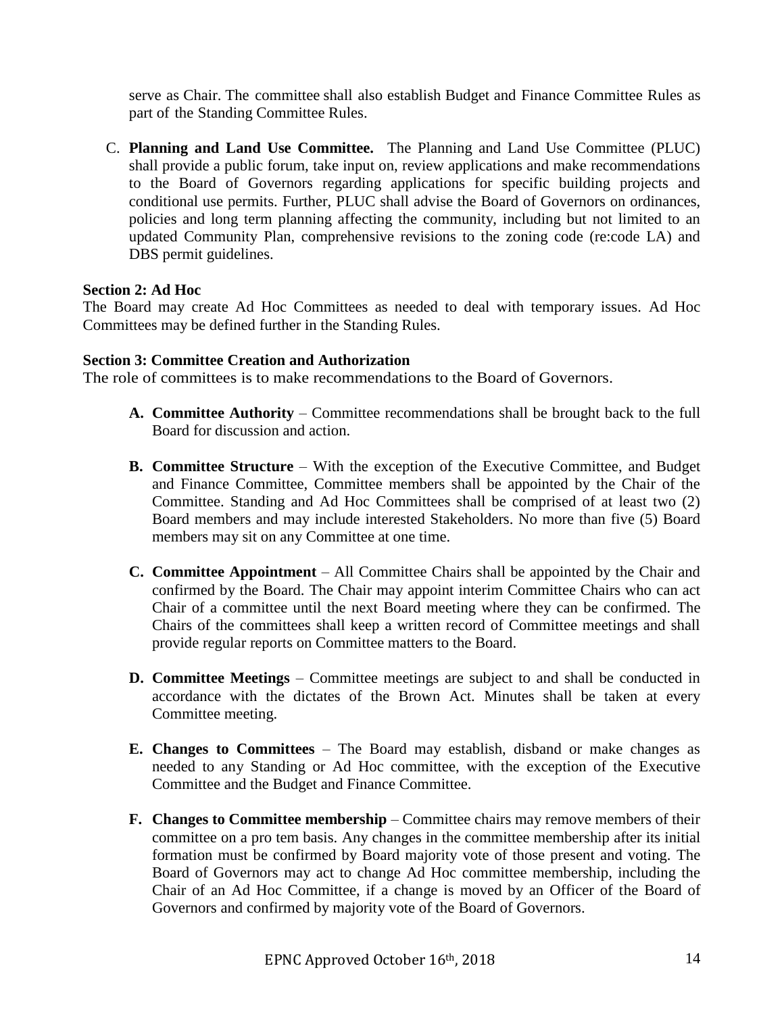serve as Chair. The committee shall also establish Budget and Finance Committee Rules as part of the Standing Committee Rules.

C. **Planning and Land Use Committee.** The Planning and Land Use Committee (PLUC) shall provide a public forum, take input on, review applications and make recommendations to the Board of Governors regarding applications for specific building projects and conditional use permits. Further, PLUC shall advise the Board of Governors on ordinances, policies and long term planning affecting the community, including but not limited to an updated Community Plan, comprehensive revisions to the zoning code (re:code LA) and DBS permit guidelines.

## **Section 2: Ad Hoc**

The Board may create Ad Hoc Committees as needed to deal with temporary issues. Ad Hoc Committees may be defined further in the Standing Rules.

## **Section 3: Committee Creation and Authorization**

The role of committees is to make recommendations to the Board of Governors.

- **A. Committee Authority** Committee recommendations shall be brought back to the full Board for discussion and action.
- **B. Committee Structure** With the exception of the Executive Committee, and Budget and Finance Committee, Committee members shall be appointed by the Chair of the Committee. Standing and Ad Hoc Committees shall be comprised of at least two (2) Board members and may include interested Stakeholders. No more than five (5) Board members may sit on any Committee at one time.
- **C. Committee Appointment** All Committee Chairs shall be appointed by the Chair and confirmed by the Board. The Chair may appoint interim Committee Chairs who can act Chair of a committee until the next Board meeting where they can be confirmed. The Chairs of the committees shall keep a written record of Committee meetings and shall provide regular reports on Committee matters to the Board.
- **D. Committee Meetings** Committee meetings are subject to and shall be conducted in accordance with the dictates of the Brown Act. Minutes shall be taken at every Committee meeting.
- **E. Changes to Committees** The Board may establish, disband or make changes as needed to any Standing or Ad Hoc committee, with the exception of the Executive Committee and the Budget and Finance Committee.
- **F. Changes to Committee membership** Committee chairs may remove members of their committee on a pro tem basis. Any changes in the committee membership after its initial formation must be confirmed by Board majority vote of those present and voting. The Board of Governors may act to change Ad Hoc committee membership, including the Chair of an Ad Hoc Committee, if a change is moved by an Officer of the Board of Governors and confirmed by majority vote of the Board of Governors.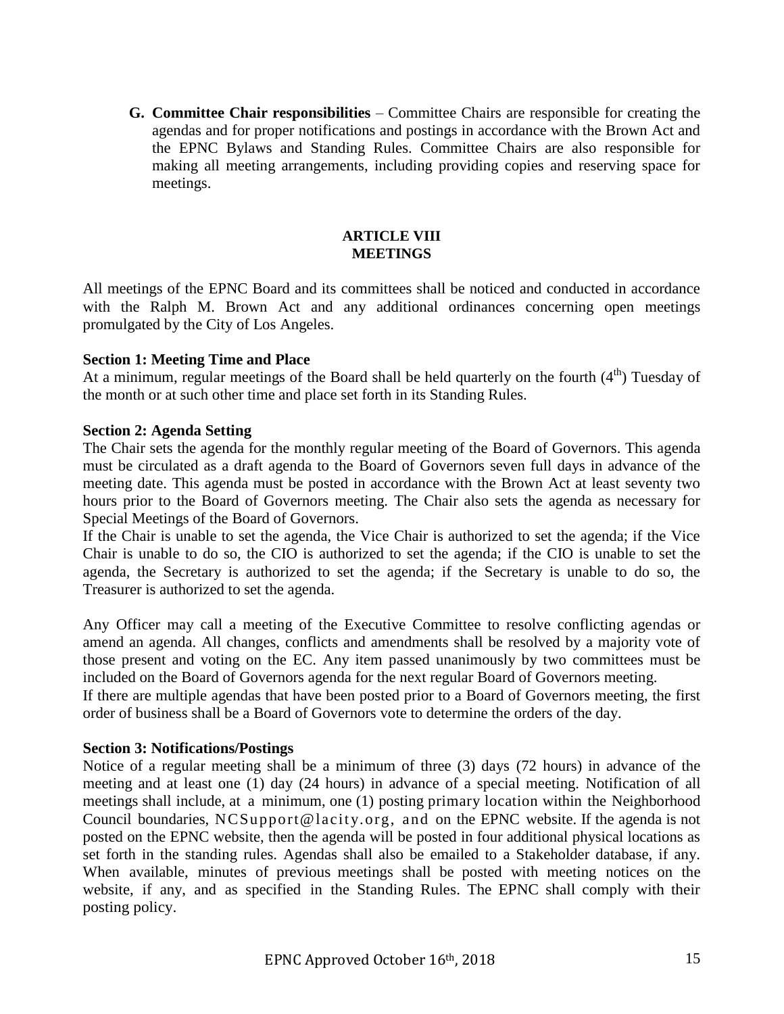**G. Committee Chair responsibilities** – Committee Chairs are responsible for creating the agendas and for proper notifications and postings in accordance with the Brown Act and the EPNC Bylaws and Standing Rules. Committee Chairs are also responsible for making all meeting arrangements, including providing copies and reserving space for meetings.

#### **ARTICLE VIII MEETINGS**

All meetings of the EPNC Board and its committees shall be noticed and conducted in accordance with the Ralph M. Brown Act and any additional ordinances concerning open meetings promulgated by the City of Los Angeles.

# **Section 1: Meeting Time and Place**

At a minimum, regular meetings of the Board shall be held quarterly on the fourth  $(4<sup>th</sup>)$  Tuesday of the month or at such other time and place set forth in its Standing Rules.

## **Section 2: Agenda Setting**

The Chair sets the agenda for the monthly regular meeting of the Board of Governors. This agenda must be circulated as a draft agenda to the Board of Governors seven full days in advance of the meeting date. This agenda must be posted in accordance with the Brown Act at least seventy two hours prior to the Board of Governors meeting. The Chair also sets the agenda as necessary for Special Meetings of the Board of Governors.

If the Chair is unable to set the agenda, the Vice Chair is authorized to set the agenda; if the Vice Chair is unable to do so, the CIO is authorized to set the agenda; if the CIO is unable to set the agenda, the Secretary is authorized to set the agenda; if the Secretary is unable to do so, the Treasurer is authorized to set the agenda.

Any Officer may call a meeting of the Executive Committee to resolve conflicting agendas or amend an agenda. All changes, conflicts and amendments shall be resolved by a majority vote of those present and voting on the EC. Any item passed unanimously by two committees must be included on the Board of Governors agenda for the next regular Board of Governors meeting. If there are multiple agendas that have been posted prior to a Board of Governors meeting, the first

order of business shall be a Board of Governors vote to determine the orders of the day.

## **Section 3: Notifications/Postings**

Notice of a regular meeting shall be a minimum of three (3) days (72 hours) in advance of the meeting and at least one (1) day (24 hours) in advance of a special meeting. Notification of all meetings shall include, at a minimum, one (1) posting primary location within the Neighborhood Council boundaries, NCSupport@lacity.org, and on the EPNC website. If the agenda is not posted on the EPNC website, then the agenda will be posted in four additional physical locations as set forth in the standing rules. Agendas shall also be emailed to a Stakeholder database, if any. When available, minutes of previous meetings shall be posted with meeting notices on the website, if any, and as specified in the Standing Rules. The EPNC shall comply with their posting policy.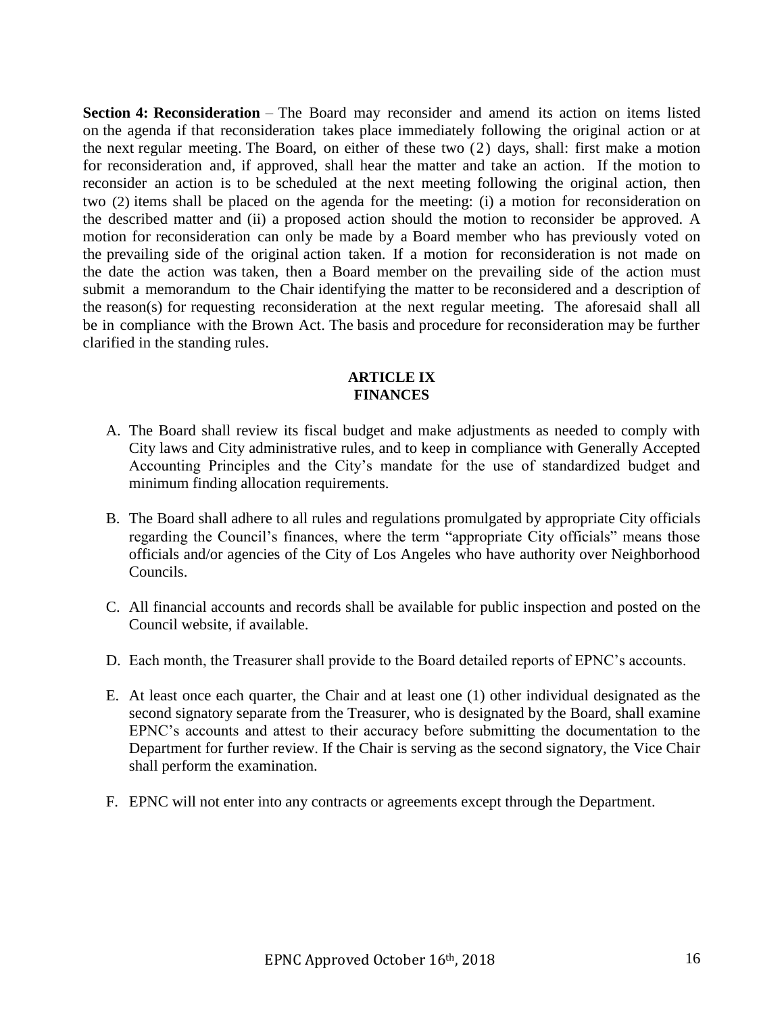**Section 4: Reconsideration** – The Board may reconsider and amend its action on items listed on the agenda if that reconsideration takes place immediately following the original action or at the next regular meeting. The Board, on either of these two (2) days, shall: first make a motion for reconsideration and, if approved, shall hear the matter and take an action. If the motion to reconsider an action is to be scheduled at the next meeting following the original action, then two (2) items shall be placed on the agenda for the meeting: (i) a motion for reconsideration on the described matter and (ii) a proposed action should the motion to reconsider be approved. A motion for reconsideration can only be made by a Board member who has previously voted on the prevailing side of the original action taken. If a motion for reconsideration is not made on the date the action was taken, then a Board member on the prevailing side of the action must submit a memorandum to the Chair identifying the matter to be reconsidered and a description of the reason(s) for requesting reconsideration at the next regular meeting. The aforesaid shall all be in compliance with the Brown Act. The basis and procedure for reconsideration may be further clarified in the standing rules.

## **ARTICLE IX FINANCES**

- A. The Board shall review its fiscal budget and make adjustments as needed to comply with City laws and City administrative rules, and to keep in compliance with Generally Accepted Accounting Principles and the City's mandate for the use of standardized budget and minimum finding allocation requirements.
- B. The Board shall adhere to all rules and regulations promulgated by appropriate City officials regarding the Council's finances, where the term "appropriate City officials" means those officials and/or agencies of the City of Los Angeles who have authority over Neighborhood Councils.
- C. All financial accounts and records shall be available for public inspection and posted on the Council website, if available.
- D. Each month, the Treasurer shall provide to the Board detailed reports of EPNC's accounts.
- E. At least once each quarter, the Chair and at least one (1) other individual designated as the second signatory separate from the Treasurer, who is designated by the Board, shall examine EPNC's accounts and attest to their accuracy before submitting the documentation to the Department for further review. If the Chair is serving as the second signatory, the Vice Chair shall perform the examination.
- F. EPNC will not enter into any contracts or agreements except through the Department.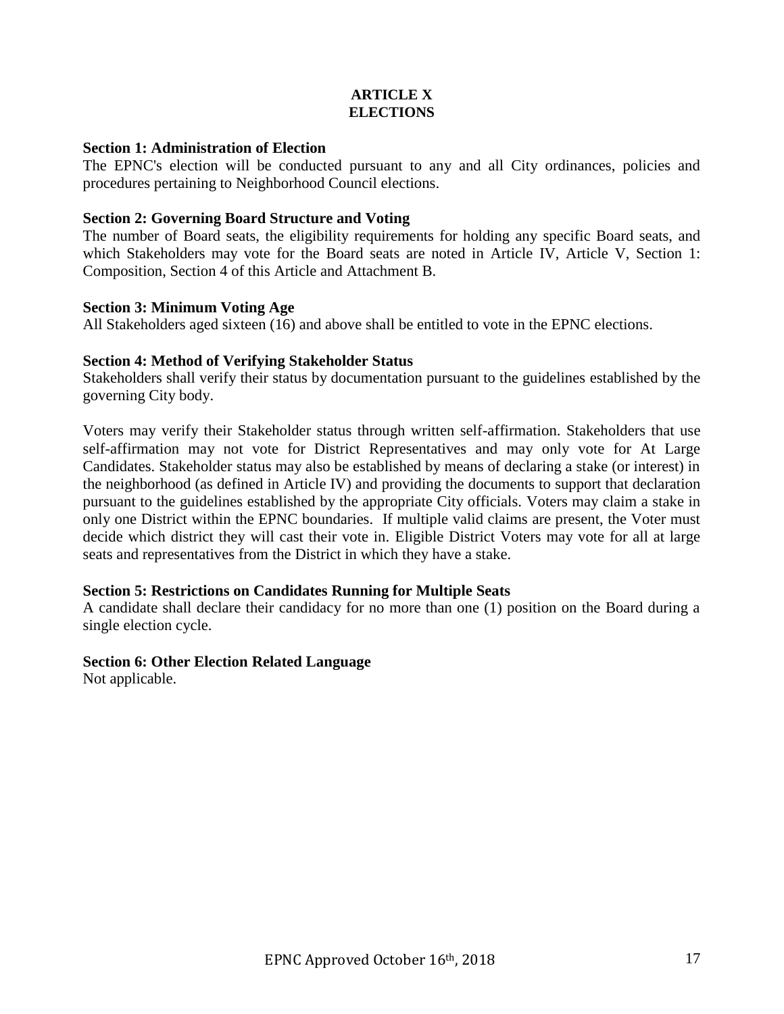# **ARTICLE X ELECTIONS**

## **Section 1: Administration of Election**

The EPNC's election will be conducted pursuant to any and all City ordinances, policies and procedures pertaining to Neighborhood Council elections.

# **Section 2: Governing Board Structure and Voting**

The number of Board seats, the eligibility requirements for holding any specific Board seats, and which Stakeholders may vote for the Board seats are noted in Article IV, Article V, Section 1: Composition, Section 4 of this Article and Attachment B.

# **Section 3: Minimum Voting Age**

All Stakeholders aged sixteen (16) and above shall be entitled to vote in the EPNC elections.

# **Section 4: Method of Verifying Stakeholder Status**

Stakeholders shall verify their status by documentation pursuant to the guidelines established by the governing City body.

Voters may verify their Stakeholder status through written self-affirmation. Stakeholders that use self-affirmation may not vote for District Representatives and may only vote for At Large Candidates. Stakeholder status may also be established by means of declaring a stake (or interest) in the neighborhood (as defined in Article IV) and providing the documents to support that declaration pursuant to the guidelines established by the appropriate City officials. Voters may claim a stake in only one District within the EPNC boundaries. If multiple valid claims are present, the Voter must decide which district they will cast their vote in. Eligible District Voters may vote for all at large seats and representatives from the District in which they have a stake.

# **Section 5: Restrictions on Candidates Running for Multiple Seats**

A candidate shall declare their candidacy for no more than one (1) position on the Board during a single election cycle.

# **Section 6: Other Election Related Language**

Not applicable.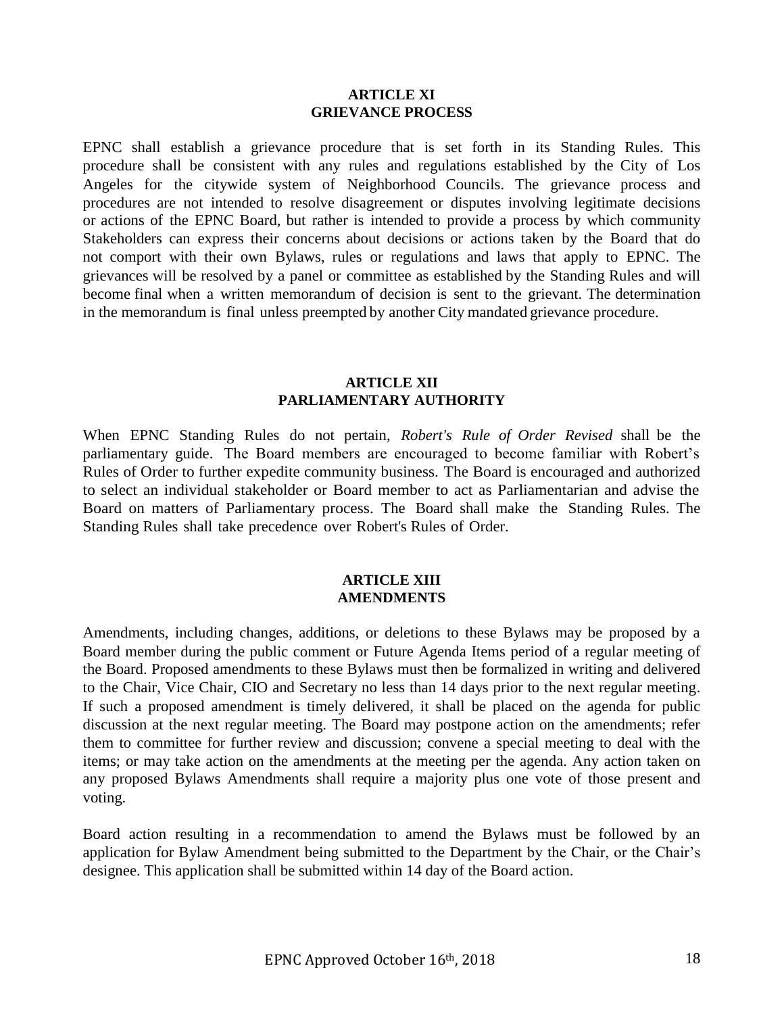#### **ARTICLE XI GRIEVANCE PROCESS**

EPNC shall establish a grievance procedure that is set forth in its Standing Rules. This procedure shall be consistent with any rules and regulations established by the City of Los Angeles for the citywide system of Neighborhood Councils. The grievance process and procedures are not intended to resolve disagreement or disputes involving legitimate decisions or actions of the EPNC Board, but rather is intended to provide a process by which community Stakeholders can express their concerns about decisions or actions taken by the Board that do not comport with their own Bylaws, rules or regulations and laws that apply to EPNC. The grievances will be resolved by a panel or committee as established by the Standing Rules and will become final when a written memorandum of decision is sent to the grievant. The determination in the memorandum is final unless preempted by another City mandated grievance procedure.

## **ARTICLE XII PARLIAMENTARY AUTHORITY**

When EPNC Standing Rules do not pertain, *Robert's Rule of Order Revised* shall be the parliamentary guide. The Board members are encouraged to become familiar with Robert's Rules of Order to further expedite community business. The Board is encouraged and authorized to select an individual stakeholder or Board member to act as Parliamentarian and advise the Board on matters of Parliamentary process. The Board shall make the Standing Rules. The Standing Rules shall take precedence over Robert's Rules of Order.

#### **ARTICLE XIII AMENDMENTS**

Amendments, including changes, additions, or deletions to these Bylaws may be proposed by a Board member during the public comment or Future Agenda Items period of a regular meeting of the Board. Proposed amendments to these Bylaws must then be formalized in writing and delivered to the Chair, Vice Chair, CIO and Secretary no less than 14 days prior to the next regular meeting. If such a proposed amendment is timely delivered, it shall be placed on the agenda for public discussion at the next regular meeting. The Board may postpone action on the amendments; refer them to committee for further review and discussion; convene a special meeting to deal with the items; or may take action on the amendments at the meeting per the agenda. Any action taken on any proposed Bylaws Amendments shall require a majority plus one vote of those present and voting.

Board action resulting in a recommendation to amend the Bylaws must be followed by an application for Bylaw Amendment being submitted to the Department by the Chair, or the Chair's designee. This application shall be submitted within 14 day of the Board action.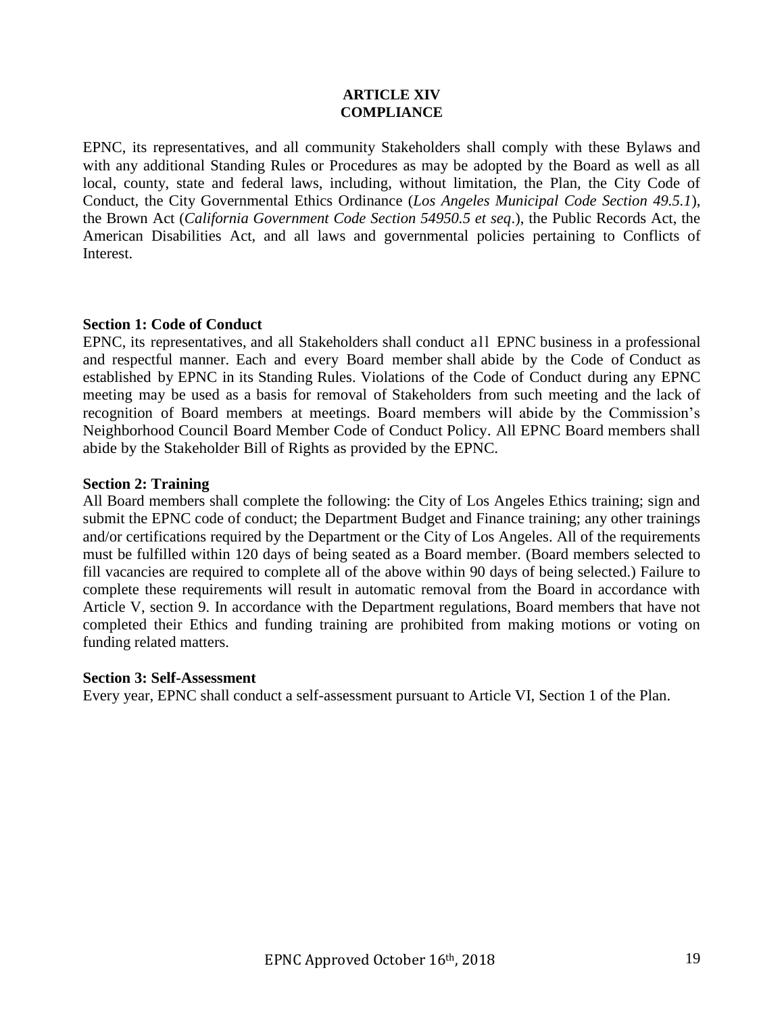## **ARTICLE XIV COMPLIANCE**

EPNC, its representatives, and all community Stakeholders shall comply with these Bylaws and with any additional Standing Rules or Procedures as may be adopted by the Board as well as all local, county, state and federal laws, including, without limitation, the Plan, the City Code of Conduct, the City Governmental Ethics Ordinance (*Los Angeles Municipal Code Section 49.5.1*), the Brown Act (*California Government Code Section 54950.5 et seq*.), the Public Records Act, the American Disabilities Act, and all laws and governmental policies pertaining to Conflicts of Interest.

## **Section 1: Code of Conduct**

EPNC, its representatives, and all Stakeholders shall conduct all EPNC business in a professional and respectful manner. Each and every Board member shall abide by the Code of Conduct as established by EPNC in its Standing Rules. Violations of the Code of Conduct during any EPNC meeting may be used as a basis for removal of Stakeholders from such meeting and the lack of recognition of Board members at meetings. Board members will abide by the Commission's Neighborhood Council Board Member Code of Conduct Policy. All EPNC Board members shall abide by the Stakeholder Bill of Rights as provided by the EPNC.

## **Section 2: Training**

All Board members shall complete the following: the City of Los Angeles Ethics training; sign and submit the EPNC code of conduct; the Department Budget and Finance training; any other trainings and/or certifications required by the Department or the City of Los Angeles. All of the requirements must be fulfilled within 120 days of being seated as a Board member. (Board members selected to fill vacancies are required to complete all of the above within 90 days of being selected.) Failure to complete these requirements will result in automatic removal from the Board in accordance with Article V, section 9. In accordance with the Department regulations, Board members that have not completed their Ethics and funding training are prohibited from making motions or voting on funding related matters.

#### **Section 3: Self-Assessment**

Every year, EPNC shall conduct a self-assessment pursuant to Article VI, Section 1 of the Plan.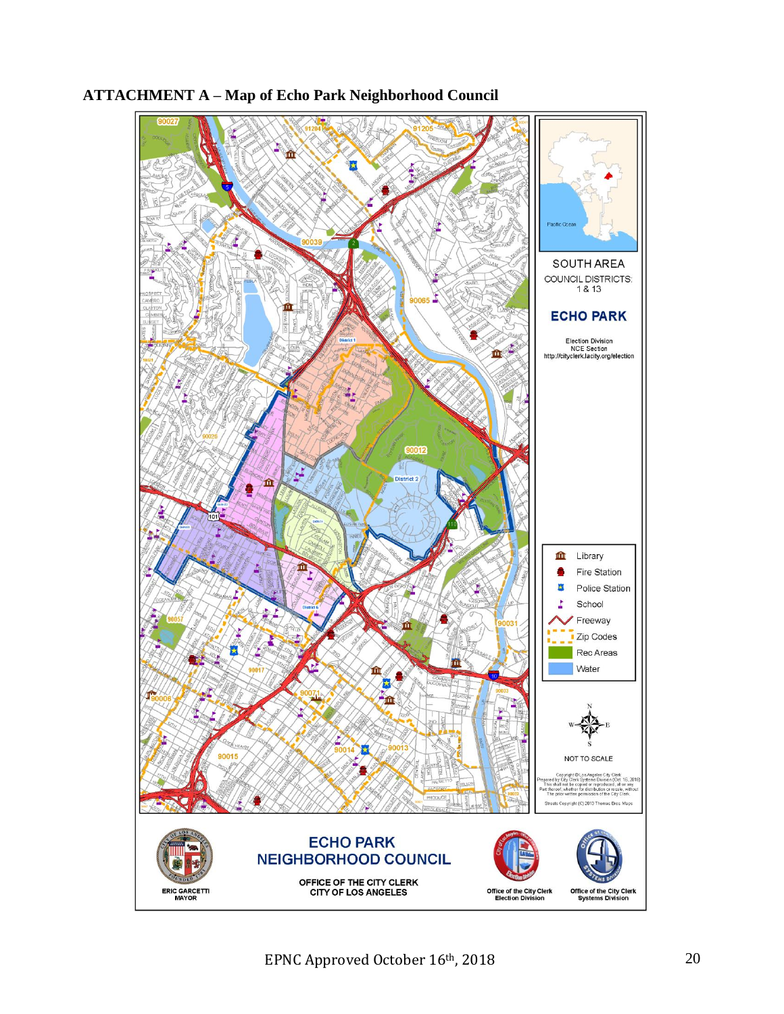

# **ATTACHMENT A – Map of Echo Park Neighborhood Council**